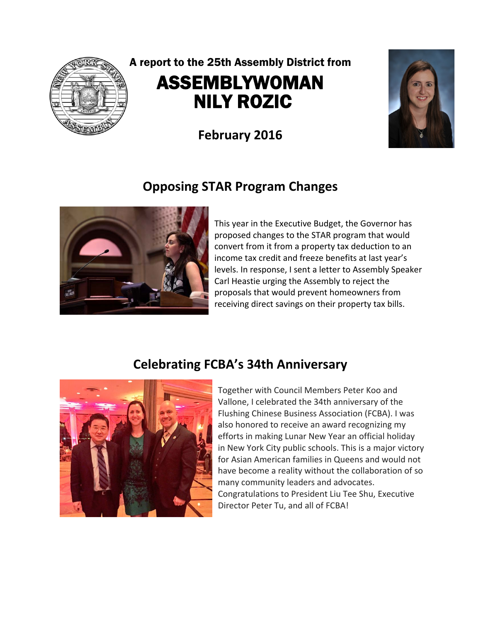

# A report to the 25th Assembly District from ASSEMBLYWOMAN NILY ROZIC

**February 2016** 

## **Opposing STAR Program Changes**



This year in the Executive Budget, the Governor has proposed changes to the STAR program that would convert from it from a property tax deduction to an income tax credit and freeze benefits at last year's levels. In response, I sent a letter to Assembly Speaker Carl Heastie urging the Assembly to reject the proposals that would prevent homeowners from receiving direct savings on their property tax bills.

# **Celebrating FCBA's 34th Anniversary**



Together with Council Members Peter Koo and Vallone, I celebrated the 34th anniversary of the Flushing Chinese Business Association (FCBA). I was also honored to receive an award recognizing my efforts in making Lunar New Year an official holiday in New York City public schools. This is a major victory for Asian American families in Queens and would not have become a reality without the collaboration of so many community leaders and advocates. Congratulations to President Liu Tee Shu, Executive Director Peter Tu, and all of FCBA!